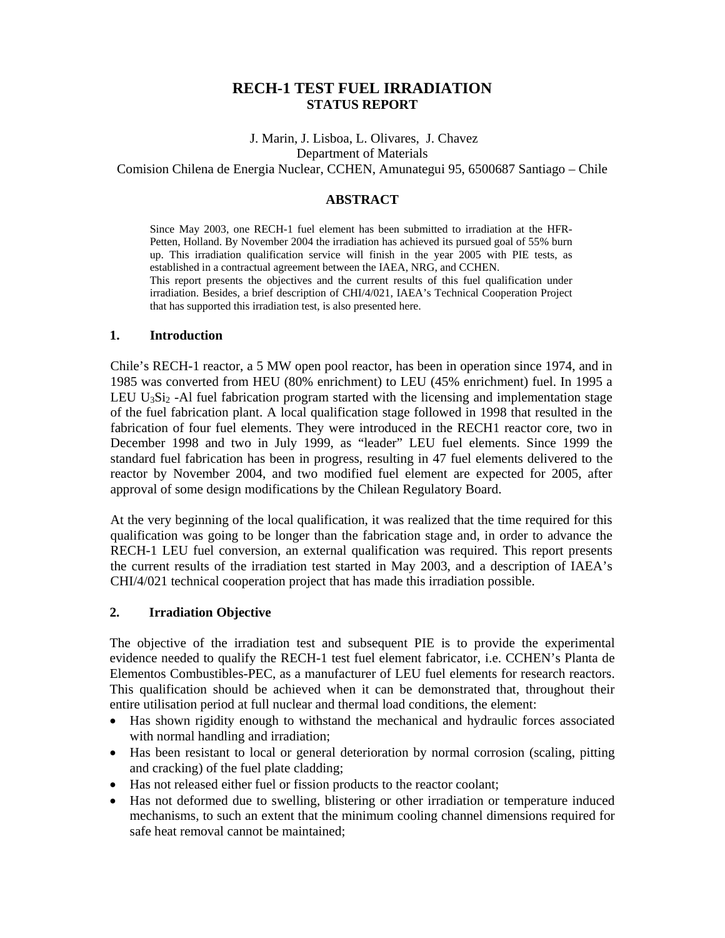# **RECH-1 TEST FUEL IRRADIATION STATUS REPORT**

 J. Marin, J. Lisboa, L. Olivares, J. Chavez Department of Materials Comision Chilena de Energia Nuclear, CCHEN, Amunategui 95, 6500687 Santiago – Chile

### **ABSTRACT**

Since May 2003, one RECH-1 fuel element has been submitted to irradiation at the HFR-Petten, Holland. By November 2004 the irradiation has achieved its pursued goal of 55% burn up. This irradiation qualification service will finish in the year 2005 with PIE tests, as established in a contractual agreement between the IAEA, NRG, and CCHEN. This report presents the objectives and the current results of this fuel qualification under irradiation. Besides, a brief description of CHI/4/021, IAEA's Technical Cooperation Project that has supported this irradiation test, is also presented here.

#### **1. Introduction**

Chile's RECH-1 reactor, a 5 MW open pool reactor, has been in operation since 1974, and in 1985 was converted from HEU (80% enrichment) to LEU (45% enrichment) fuel. In 1995 a LEU U<sub>3</sub>S<sub>12</sub> -Al fuel fabrication program started with the licensing and implementation stage of the fuel fabrication plant. A local qualification stage followed in 1998 that resulted in the fabrication of four fuel elements. They were introduced in the RECH1 reactor core, two in December 1998 and two in July 1999, as "leader" LEU fuel elements. Since 1999 the standard fuel fabrication has been in progress, resulting in 47 fuel elements delivered to the reactor by November 2004, and two modified fuel element are expected for 2005, after approval of some design modifications by the Chilean Regulatory Board.

At the very beginning of the local qualification, it was realized that the time required for this qualification was going to be longer than the fabrication stage and, in order to advance the RECH-1 LEU fuel conversion, an external qualification was required. This report presents the current results of the irradiation test started in May 2003, and a description of IAEA's CHI/4/021 technical cooperation project that has made this irradiation possible.

# **2. Irradiation Objective**

The objective of the irradiation test and subsequent PIE is to provide the experimental evidence needed to qualify the RECH-1 test fuel element fabricator, i.e. CCHEN's Planta de Elementos Combustibles-PEC, as a manufacturer of LEU fuel elements for research reactors. This qualification should be achieved when it can be demonstrated that, throughout their entire utilisation period at full nuclear and thermal load conditions, the element:

- Has shown rigidity enough to withstand the mechanical and hydraulic forces associated with normal handling and irradiation;
- Has been resistant to local or general deterioration by normal corrosion (scaling, pitting and cracking) of the fuel plate cladding;
- Has not released either fuel or fission products to the reactor coolant;
- Has not deformed due to swelling, blistering or other irradiation or temperature induced mechanisms, to such an extent that the minimum cooling channel dimensions required for safe heat removal cannot be maintained;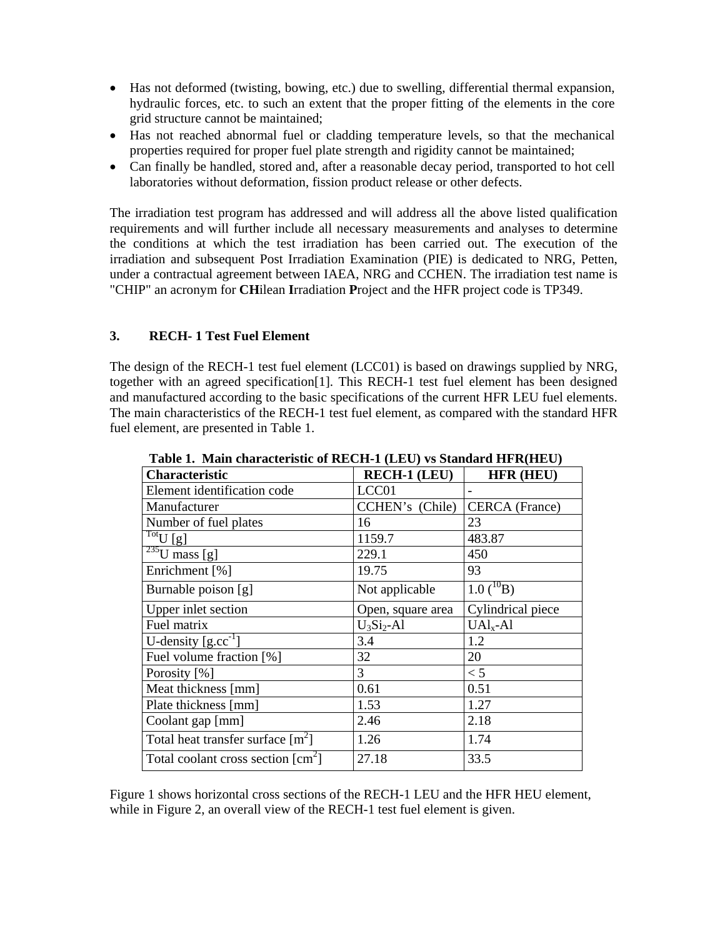- Has not deformed (twisting, bowing, etc.) due to swelling, differential thermal expansion, hydraulic forces, etc. to such an extent that the proper fitting of the elements in the core grid structure cannot be maintained;
- Has not reached abnormal fuel or cladding temperature levels, so that the mechanical properties required for proper fuel plate strength and rigidity cannot be maintained;
- Can finally be handled, stored and, after a reasonable decay period, transported to hot cell laboratories without deformation, fission product release or other defects.

The irradiation test program has addressed and will address all the above listed qualification requirements and will further include all necessary measurements and analyses to determine the conditions at which the test irradiation has been carried out. The execution of the irradiation and subsequent Post Irradiation Examination (PIE) is dedicated to NRG, Petten, under a contractual agreement between IAEA, NRG and CCHEN. The irradiation test name is "CHIP" an acronym for **CH**ilean **I**rradiation **P**roject and the HFR project code is TP349.

# **3. RECH- 1 Test Fuel Element**

The design of the RECH-1 test fuel element (LCC01) is based on drawings supplied by NRG, together with an agreed specification[1]. This RECH-1 test fuel element has been designed and manufactured according to the basic specifications of the current HFR LEU fuel elements. The main characteristics of the RECH-1 test fuel element, as compared with the standard HFR fuel element, are presented in Table 1.

| <b>Characteristic</b>                                         | <b>RECH-1 (LEU)</b> | <b>HFR (HEU)</b>      |
|---------------------------------------------------------------|---------------------|-----------------------|
| Element identification code                                   | LCC <sub>01</sub>   |                       |
| Manufacturer                                                  | CCHEN's (Chile)     | <b>CERCA</b> (France) |
| Number of fuel plates                                         | 16                  | 23                    |
| $\overline{\mathrm{Tot}}$ U $[g]$                             | 1159.7              | 483.87                |
| $\sqrt[235]{U}$ mass [g]                                      | 229.1               | 450                   |
| Enrichment [%]                                                | 19.75               | 93                    |
| Burnable poison [g]                                           | Not applicable      | $1.0(^{10}B)$         |
| Upper inlet section                                           | Open, square area   | Cylindrical piece     |
| Fuel matrix                                                   | $U_3Si_2$ -Al       | $UAIx-Al$             |
| U-density $[g, cc^{-1}]$                                      | 3.4                 | 1.2                   |
| Fuel volume fraction [%]                                      | 32                  | 20                    |
| Porosity [%]                                                  | 3                   | < 5                   |
| Meat thickness [mm]                                           | 0.61                | 0.51                  |
| Plate thickness [mm]                                          | 1.53                | 1.27                  |
| Coolant gap [mm]                                              | 2.46                | 2.18                  |
| Total heat transfer surface $[m^2]$                           | 1.26                | 1.74                  |
| Total coolant cross section $\lceil$ cm <sup>2</sup> $\rceil$ | 27.18               | 33.5                  |

**Table 1. Main characteristic of RECH-1 (LEU) vs Standard HFR(HEU)**

Figure 1 shows horizontal cross sections of the RECH-1 LEU and the HFR HEU element, while in Figure 2, an overall view of the RECH-1 test fuel element is given.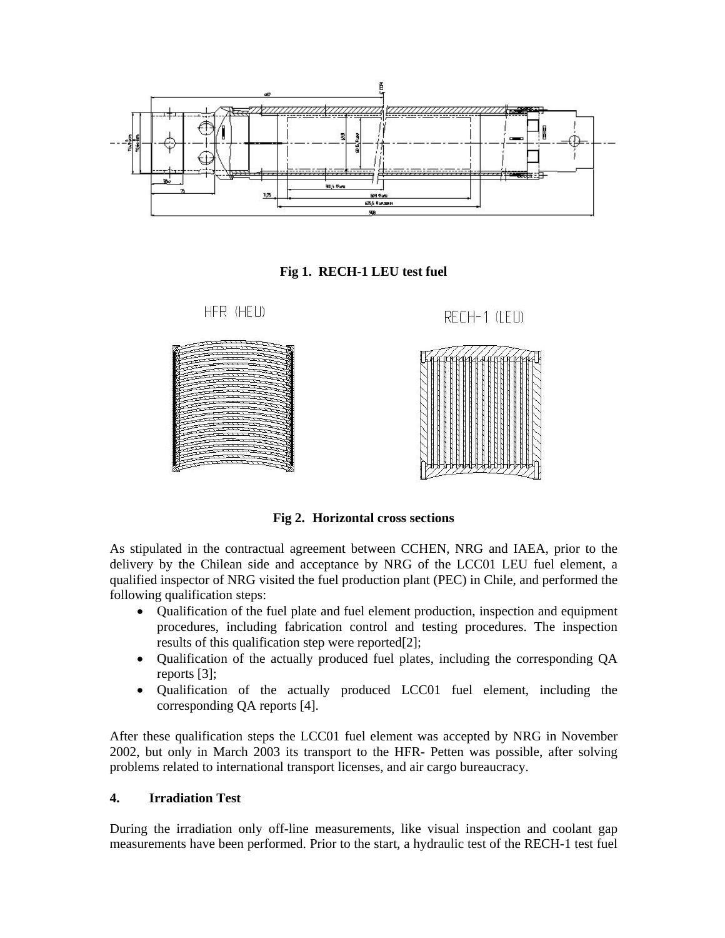





**Fig 2. Horizontal cross sections** 

As stipulated in the contractual agreement between CCHEN, NRG and IAEA, prior to the delivery by the Chilean side and acceptance by NRG of the LCC01 LEU fuel element, a qualified inspector of NRG visited the fuel production plant (PEC) in Chile, and performed the following qualification steps:

- Qualification of the fuel plate and fuel element production, inspection and equipment procedures, including fabrication control and testing procedures. The inspection results of this qualification step were reported[2];
- Qualification of the actually produced fuel plates, including the corresponding QA reports [3];
- Qualification of the actually produced LCC01 fuel element, including the corresponding QA reports [4].

After these qualification steps the LCC01 fuel element was accepted by NRG in November 2002, but only in March 2003 its transport to the HFR- Petten was possible, after solving problems related to international transport licenses, and air cargo bureaucracy.

#### **4. Irradiation Test**

During the irradiation only off-line measurements, like visual inspection and coolant gap measurements have been performed. Prior to the start, a hydraulic test of the RECH-1 test fuel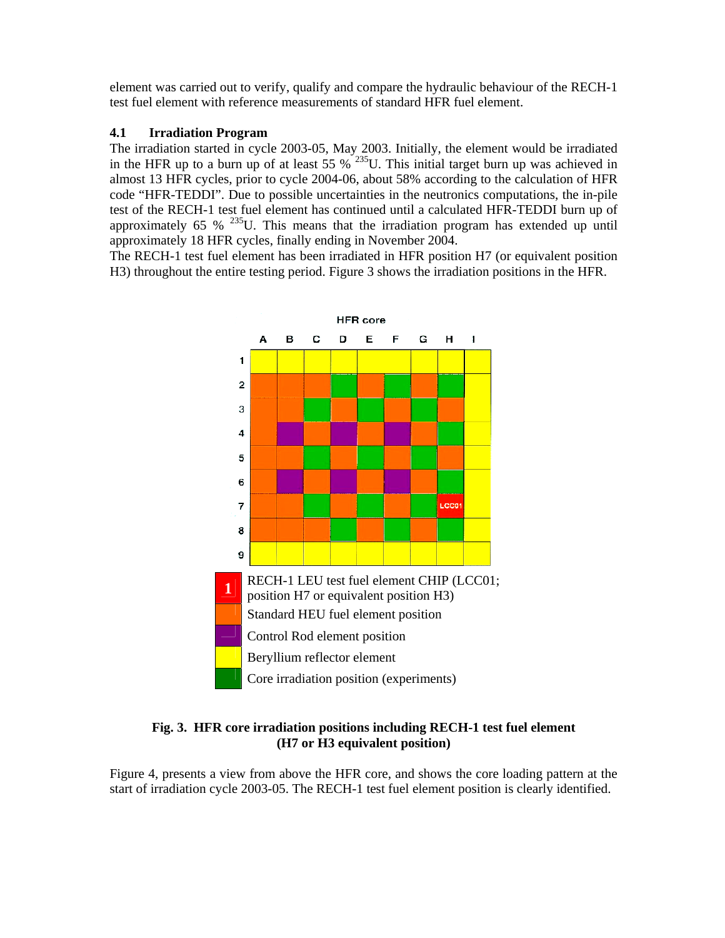element was carried out to verify, qualify and compare the hydraulic behaviour of the RECH-1 test fuel element with reference measurements of standard HFR fuel element.

# **4.1 Irradiation Program**

The irradiation started in cycle 2003-05, May 2003. Initially, the element would be irradiated in the HFR up to a burn up of at least  $55\%$ <sup>235</sup>U. This initial target burn up was achieved in almost 13 HFR cycles, prior to cycle 2004-06, about 58% according to the calculation of HFR code "HFR-TEDDI". Due to possible uncertainties in the neutronics computations, the in-pile test of the RECH-1 test fuel element has continued until a calculated HFR-TEDDI burn up of approximately 65 %  $^{235}$ U. This means that the irradiation program has extended up until approximately 18 HFR cycles, finally ending in November 2004.

The RECH-1 test fuel element has been irradiated in HFR position H7 (or equivalent position H3) throughout the entire testing period. Figure 3 shows the irradiation positions in the HFR.



# **Fig. 3. HFR core irradiation positions including RECH-1 test fuel element (H7 or H3 equivalent position)**

Figure 4, presents a view from above the HFR core, and shows the core loading pattern at the start of irradiation cycle 2003-05. The RECH-1 test fuel element position is clearly identified.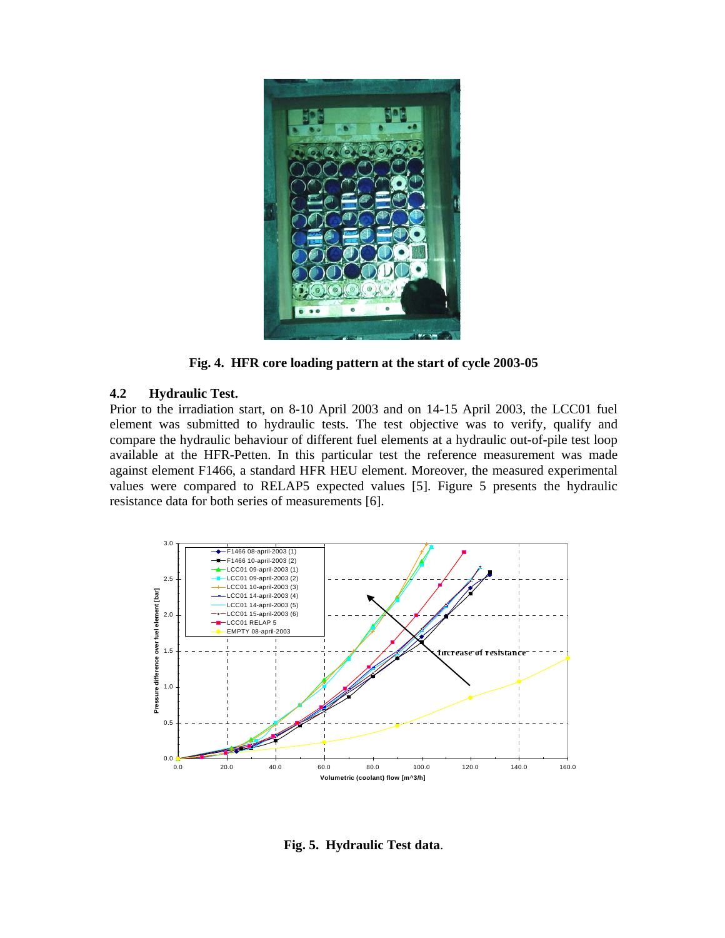

**Fig. 4. HFR core loading pattern at the start of cycle 2003-05** 

### **4.2 Hydraulic Test.**

Prior to the irradiation start, on 8-10 April 2003 and on 14-15 April 2003, the LCC01 fuel element was submitted to hydraulic tests. The test objective was to verify, qualify and compare the hydraulic behaviour of different fuel elements at a hydraulic out-of-pile test loop available at the HFR-Petten. In this particular test the reference measurement was made against element F1466, a standard HFR HEU element. Moreover, the measured experimental values were compared to RELAP5 expected values [5]. Figure 5 presents the hydraulic resistance data for both series of measurements [6].



**Fig. 5. Hydraulic Test data**.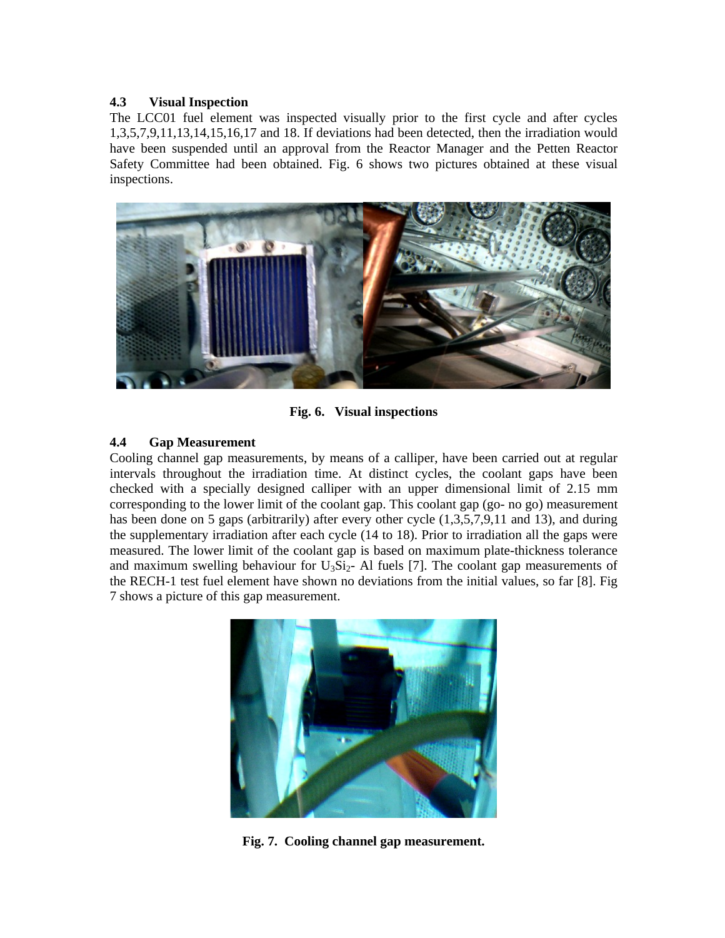### **4.3 Visual Inspection**

The LCC01 fuel element was inspected visually prior to the first cycle and after cycles 1,3,5,7,9,11,13,14,15,16,17 and 18. If deviations had been detected, then the irradiation would have been suspended until an approval from the Reactor Manager and the Petten Reactor Safety Committee had been obtained. Fig. 6 shows two pictures obtained at these visual inspections.



**Fig. 6. Visual inspections** 

# **4.4 Gap Measurement**

Cooling channel gap measurements, by means of a calliper, have been carried out at regular intervals throughout the irradiation time. At distinct cycles, the coolant gaps have been checked with a specially designed calliper with an upper dimensional limit of 2.15 mm corresponding to the lower limit of the coolant gap. This coolant gap (go- no go) measurement has been done on 5 gaps (arbitrarily) after every other cycle  $(1,3,5,7,9,11$  and 13), and during the supplementary irradiation after each cycle (14 to 18). Prior to irradiation all the gaps were measured. The lower limit of the coolant gap is based on maximum plate-thickness tolerance and maximum swelling behaviour for  $U_3Si_2$ - Al fuels [7]. The coolant gap measurements of the RECH-1 test fuel element have shown no deviations from the initial values, so far [8]. Fig 7 shows a picture of this gap measurement.



**Fig. 7. Cooling channel gap measurement.**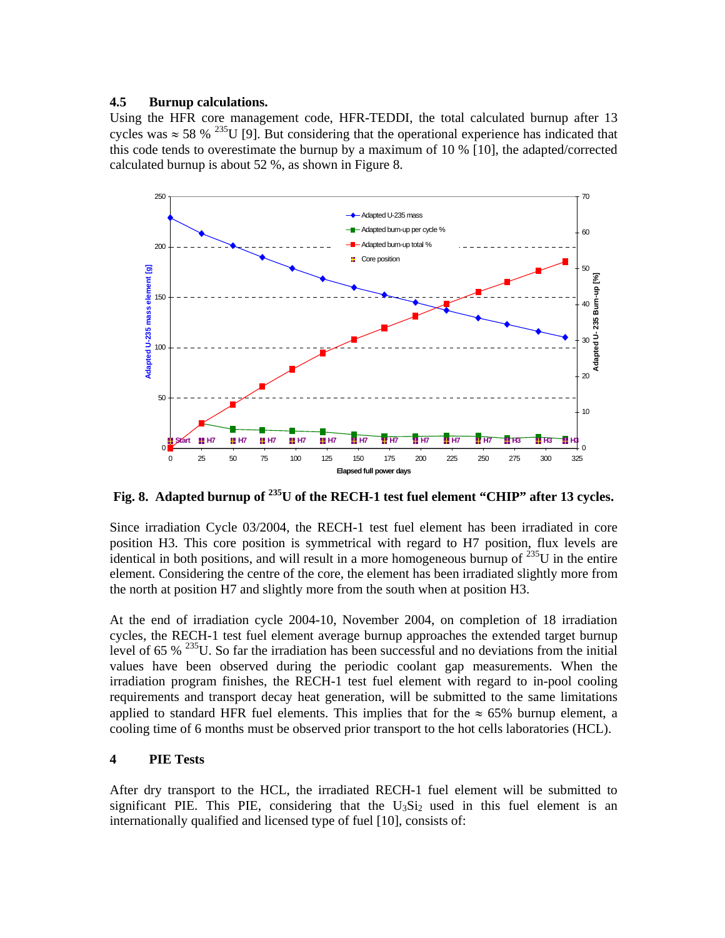### **4.5 Burnup calculations.**

Using the HFR core management code, HFR-TEDDI, the total calculated burnup after 13 cycles was  $\approx 58\%$  <sup>235</sup>U [9]. But considering that the operational experience has indicated that this code tends to overestimate the burnup by a maximum of 10 % [10], the adapted/corrected calculated burnup is about 52 %, as shown in Figure 8.



**Fig. 8. Adapted burnup of 235U of the RECH-1 test fuel element "CHIP" after 13 cycles.** 

Since irradiation Cycle 03/2004, the RECH-1 test fuel element has been irradiated in core position H3. This core position is symmetrical with regard to H7 position, flux levels are identical in both positions, and will result in a more homogeneous burnup of  $^{235}U$  in the entire element. Considering the centre of the core, the element has been irradiated slightly more from the north at position H7 and slightly more from the south when at position H3.

At the end of irradiation cycle 2004-10, November 2004, on completion of 18 irradiation cycles, the RECH-1 test fuel element average burnup approaches the extended target burnup level of 65 % 235U. So far the irradiation has been successful and no deviations from the initial values have been observed during the periodic coolant gap measurements. When the irradiation program finishes, the RECH-1 test fuel element with regard to in-pool cooling requirements and transport decay heat generation, will be submitted to the same limitations applied to standard HFR fuel elements. This implies that for the  $\approx 65\%$  burnup element, a cooling time of 6 months must be observed prior transport to the hot cells laboratories (HCL).

# **4 PIE Tests**

After dry transport to the HCL, the irradiated RECH-1 fuel element will be submitted to significant PIE. This PIE, considering that the  $U_3Si_2$  used in this fuel element is an internationally qualified and licensed type of fuel [10], consists of: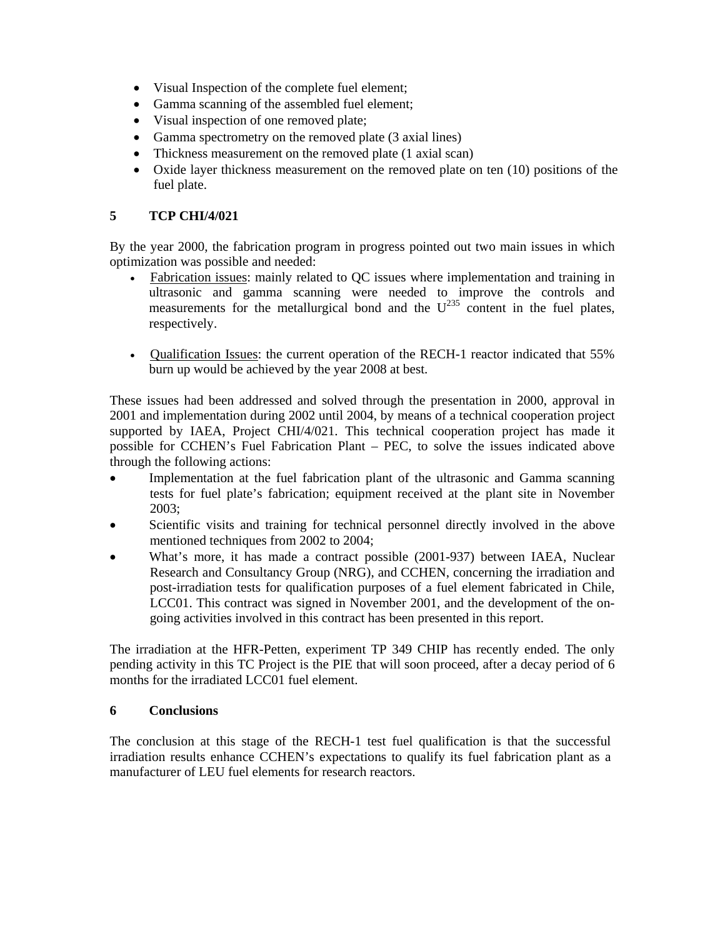- Visual Inspection of the complete fuel element;
- Gamma scanning of the assembled fuel element;
- Visual inspection of one removed plate;
- Gamma spectrometry on the removed plate (3 axial lines)
- Thickness measurement on the removed plate (1 axial scan)
- Oxide layer thickness measurement on the removed plate on ten (10) positions of the fuel plate.

# **5 TCP CHI/4/021**

By the year 2000, the fabrication program in progress pointed out two main issues in which optimization was possible and needed:

- Fabrication issues: mainly related to QC issues where implementation and training in ultrasonic and gamma scanning were needed to improve the controls and measurements for the metallurgical bond and the  $U^{235}$  content in the fuel plates, respectively.
- Qualification Issues: the current operation of the RECH-1 reactor indicated that 55% burn up would be achieved by the year 2008 at best.

These issues had been addressed and solved through the presentation in 2000, approval in 2001 and implementation during 2002 until 2004, by means of a technical cooperation project supported by IAEA, Project CHI/4/021. This technical cooperation project has made it possible for CCHEN's Fuel Fabrication Plant – PEC, to solve the issues indicated above through the following actions:

- Implementation at the fuel fabrication plant of the ultrasonic and Gamma scanning tests for fuel plate's fabrication; equipment received at the plant site in November 2003;
- Scientific visits and training for technical personnel directly involved in the above mentioned techniques from 2002 to 2004;
- What's more, it has made a contract possible (2001-937) between IAEA, Nuclear Research and Consultancy Group (NRG), and CCHEN, concerning the irradiation and post-irradiation tests for qualification purposes of a fuel element fabricated in Chile, LCC01. This contract was signed in November 2001, and the development of the ongoing activities involved in this contract has been presented in this report.

The irradiation at the HFR-Petten, experiment TP 349 CHIP has recently ended. The only pending activity in this TC Project is the PIE that will soon proceed, after a decay period of 6 months for the irradiated LCC01 fuel element.

# **6 Conclusions**

The conclusion at this stage of the RECH-1 test fuel qualification is that the successful irradiation results enhance CCHEN's expectations to qualify its fuel fabrication plant as a manufacturer of LEU fuel elements for research reactors.